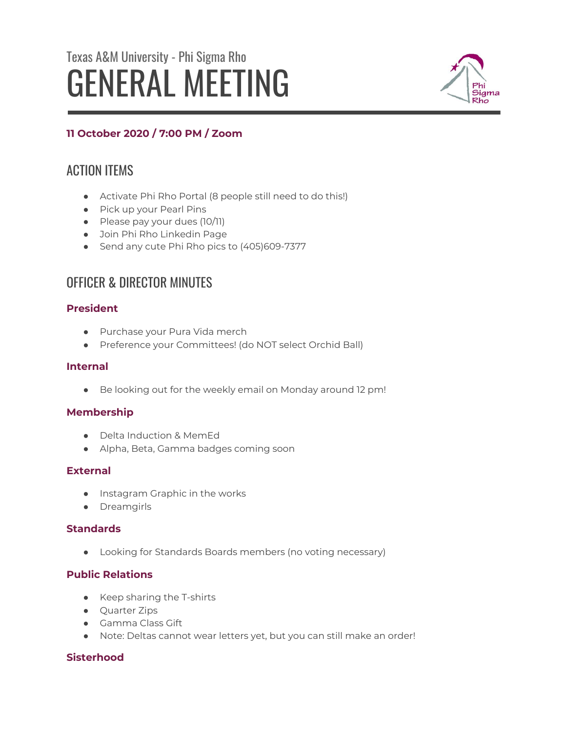# Texas A&M University - Phi Sigma Rho GENERAL MEETING



# **11 October 2020 / 7:00 PM / Zoom**

# ACTION ITEMS

- Activate Phi Rho Portal (8 people still need to do this!)
- Pick up your Pearl Pins
- Please pay your dues (10/11)
- Join Phi Rho Linkedin Page
- Send any cute Phi Rho pics to (405)609-7377

# OFFICER & DIRECTOR MINUTES

# **President**

- Purchase your Pura Vida merch
- Preference your Committees! (do NOT select Orchid Ball)

# **Internal**

● Be looking out for the weekly email on Monday around 12 pm!

# **Membership**

- Delta Induction & MemEd
- Alpha, Beta, Gamma badges coming soon

# **External**

- Instagram Graphic in the works
- Dreamgirls

# **Standards**

● Looking for Standards Boards members (no voting necessary)

# **Public Relations**

- Keep sharing the T-shirts
- Quarter Zips
- Gamma Class Gift
- Note: Deltas cannot wear letters yet, but you can still make an order!

# **Sisterhood**